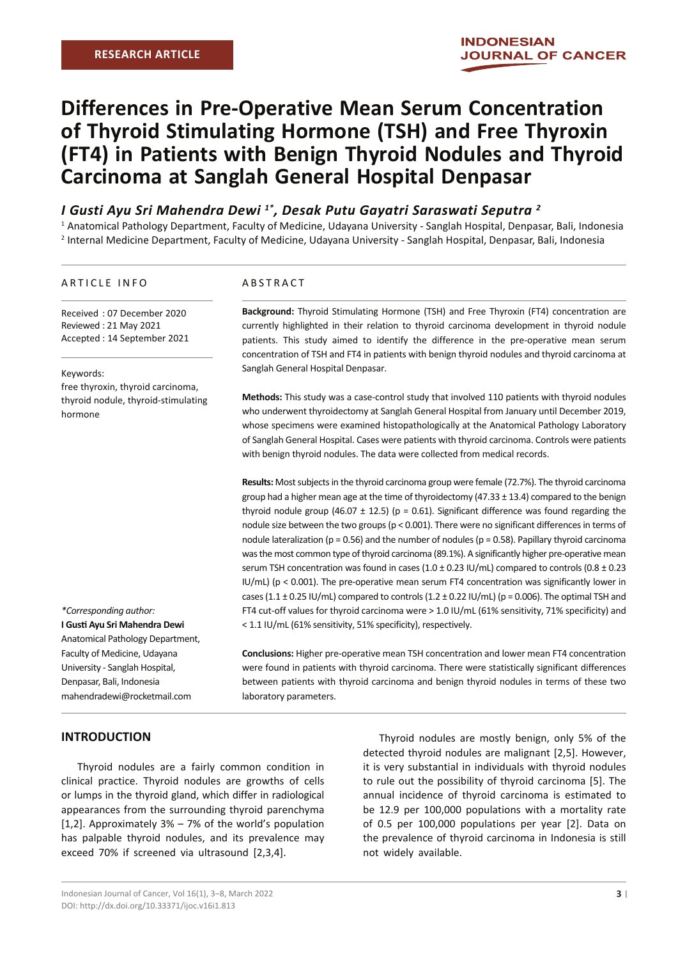# **Differences in Pre-Operative Mean Serum Concentration of Thyroid Stimulating Hormone (TSH) and Free Thyroxin (FT4) in Patients with Benign Thyroid Nodules and Thyroid Carcinoma at Sanglah General Hospital Denpasar**

# *I Gusti Ayu Sri Mahendra Dewi 1\*, Desak Putu Gayatri Saraswati Seputra 2*

1 Anatomical Pathology Department, Faculty of Medicine, Udayana University - Sanglah Hospital, Denpasar, Bali, Indonesia 2 Internal Medicine Department, Faculty of Medicine, Udayana University - Sanglah Hospital, Denpasar, Bali, Indonesia

#### ARTICLE INFO

Received : 07 December 2020 Reviewed : 21 May 2021 Accepted : 14 September 2021

#### Keywords:

free thyroxin, thyroid carcinoma, thyroid nodule, thyroid-stimulating hormone

## **I Gusti Ayu Sri Mahendra Dewi** Anatomical Pathology Department, Faculty of Medicine, Udayana University - Sanglah Hospital,

*\*Corresponding author:*

Denpasar, Bali, Indonesia mahendradewi@rocketmail.com

## ABSTRACT

**Background:** Thyroid Stimulating Hormone (TSH) and Free Thyroxin (FT4) concentration are currently highlighted in their relation to thyroid carcinoma development in thyroid nodule patients. This study aimed to identify the difference in the pre-operative mean serum concentration of TSH and FT4 in patients with benign thyroid nodules and thyroid carcinoma at Sanglah General Hospital Denpasar.

**Methods:** This study was a case-control study that involved 110 patients with thyroid nodules who underwent thyroidectomy at Sanglah General Hospital from January until December 2019, whose specimens were examined histopathologically at the Anatomical Pathology Laboratory of Sanglah General Hospital. Cases were patients with thyroid carcinoma. Controls were patients with benign thyroid nodules. The data were collected from medical records.

**Results:** Most subjects in the thyroid carcinoma group were female (72.7%). The thyroid carcinoma group had a higher mean age at the time of thyroidectomy (47.33 ± 13.4) compared to the benign thyroid nodule group (46.07  $\pm$  12.5) (p = 0.61). Significant difference was found regarding the nodule size between the two groups (p < 0.001). There were no significant differences in terms of nodule lateralization ( $p = 0.56$ ) and the number of nodules ( $p = 0.58$ ). Papillary thyroid carcinoma was the most common type of thyroid carcinoma (89.1%). A significantly higher pre-operative mean serum TSH concentration was found in cases  $(1.0 \pm 0.23 \text{ IU/mL})$  compared to controls  $(0.8 \pm 0.23 \text{ IU/mL})$ IU/mL) (p < 0.001). The pre-operative mean serum FT4 concentration was significantly lower in cases (1.1  $\pm$  0.25 IU/mL) compared to controls (1.2  $\pm$  0.22 IU/mL) (p = 0.006). The optimal TSH and FT4 cut-off values for thyroid carcinoma were > 1.0 IU/mL (61% sensitivity, 71% specificity) and < 1.1 IU/mL (61% sensitivity, 51% specificity), respectively.

**Conclusions:** Higher pre-operative mean TSH concentration and lower mean FT4 concentration were found in patients with thyroid carcinoma. There were statistically significant differences between patients with thyroid carcinoma and benign thyroid nodules in terms of these two laboratory parameters.

## **INTRODUCTION**

Thyroid nodules are a fairly common condition in clinical practice. Thyroid nodules are growths of cells or lumps in the thyroid gland, which differ in radiological appearances from the surrounding thyroid parenchyma [1,2]. Approximately 3% – 7% of the world's population has palpable thyroid nodules, and its prevalence may exceed 70% if screened via ultrasound [2,3,4].

Thyroid nodules are mostly benign, only 5% of the detected thyroid nodules are malignant [2,5]. However, it is very substantial in individuals with thyroid nodules to rule out the possibility of thyroid carcinoma [5]. The annual incidence of thyroid carcinoma is estimated to be 12.9 per 100,000 populations with a mortality rate of 0.5 per 100,000 populations per year [2]. Data on the prevalence of thyroid carcinoma in Indonesia is still not widely available.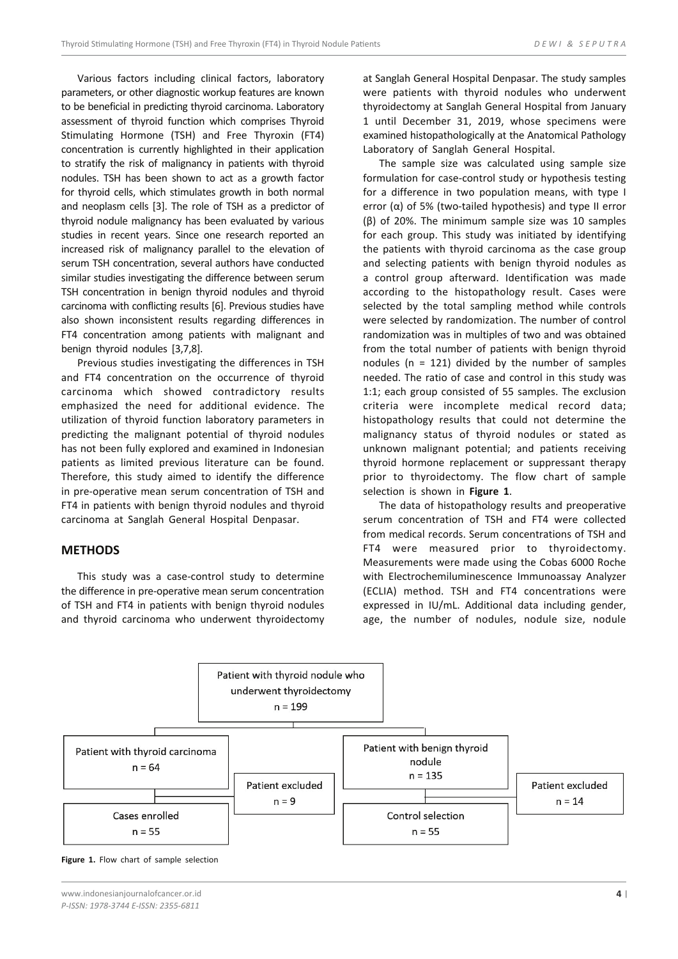Various factors including clinical factors, laboratory parameters, or other diagnostic workup features are known to be beneficial in predicting thyroid carcinoma. Laboratory assessment of thyroid function which comprises Thyroid Stimulating Hormone (TSH) and Free Thyroxin (FT4) concentration is currently highlighted in their application to stratify the risk of malignancy in patients with thyroid nodules. TSH has been shown to act as a growth factor for thyroid cells, which stimulates growth in both normal and neoplasm cells [3]. The role of TSH as a predictor of thyroid nodule malignancy has been evaluated by various studies in recent years. Since one research reported an increased risk of malignancy parallel to the elevation of serum TSH concentration, several authors have conducted similar studies investigating the difference between serum TSH concentration in benign thyroid nodules and thyroid carcinoma with conflicting results [6]. Previous studies have also shown inconsistent results regarding differences in FT4 concentration among patients with malignant and benign thyroid nodules [3,7,8].

Previous studies investigating the differences in TSH and FT4 concentration on the occurrence of thyroid carcinoma which showed contradictory results emphasized the need for additional evidence. The utilization of thyroid function laboratory parameters in predicting the malignant potential of thyroid nodules has not been fully explored and examined in Indonesian patients as limited previous literature can be found. Therefore, this study aimed to identify the difference in pre-operative mean serum concentration of TSH and FT4 in patients with benign thyroid nodules and thyroid carcinoma at Sanglah General Hospital Denpasar.

## **METHODS**

This study was a case-control study to determine the difference in pre-operative mean serum concentration of TSH and FT4 in patients with benign thyroid nodules and thyroid carcinoma who underwent thyroidectomy at Sanglah General Hospital Denpasar. The study samples were patients with thyroid nodules who underwent thyroidectomy at Sanglah General Hospital from January 1 until December 31, 2019, whose specimens were examined histopathologically at the Anatomical Pathology Laboratory of Sanglah General Hospital.

The sample size was calculated using sample size formulation for case-control study or hypothesis testing for a difference in two population means, with type I error (α) of 5% (two-tailed hypothesis) and type II error (β) of 20%. The minimum sample size was 10 samples for each group. This study was initiated by identifying the patients with thyroid carcinoma as the case group and selecting patients with benign thyroid nodules as a control group afterward. Identification was made according to the histopathology result. Cases were selected by the total sampling method while controls were selected by randomization. The number of control randomization was in multiples of two and was obtained from the total number of patients with benign thyroid nodules ( $n = 121$ ) divided by the number of samples needed. The ratio of case and control in this study was 1:1; each group consisted of 55 samples. The exclusion criteria were incomplete medical record data; histopathology results that could not determine the malignancy status of thyroid nodules or stated as unknown malignant potential; and patients receiving thyroid hormone replacement or suppressant therapy prior to thyroidectomy. The flow chart of sample selection is shown in **Figure 1**.

The data of histopathology results and preoperative serum concentration of TSH and FT4 were collected from medical records. Serum concentrations of TSH and FT4 were measured prior to thyroidectomy. Measurements were made using the Cobas 6000 Roche with Electrochemiluminescence Immunoassay Analyzer (ECLIA) method. TSH and FT4 concentrations were expressed in IU/mL. Additional data including gender, age, the number of nodules, nodule size, nodule



Figure 1. Flow chart of sample selection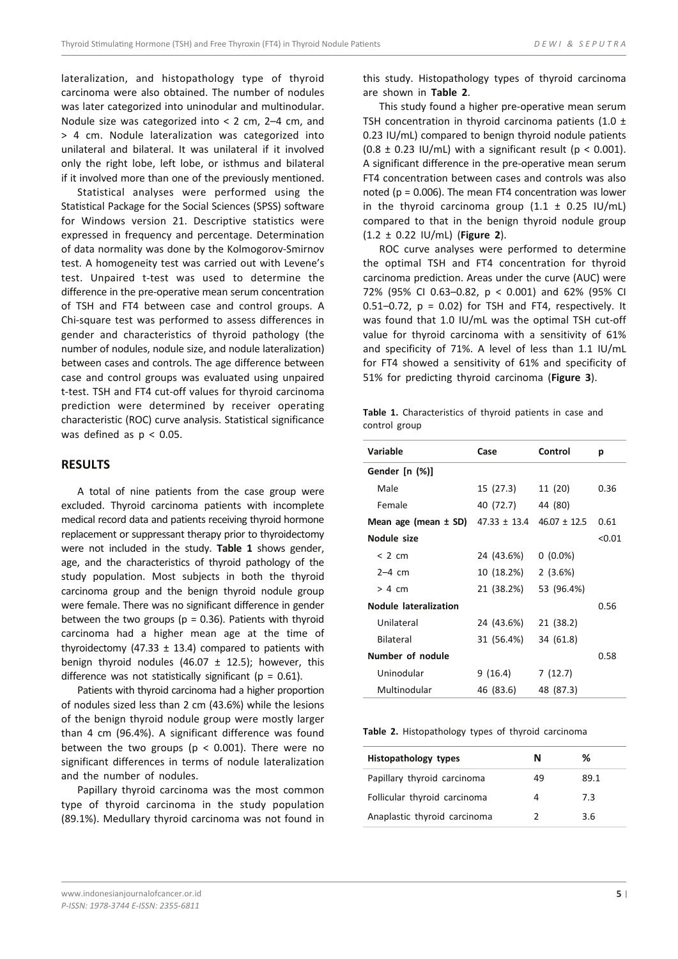lateralization, and histopathology type of thyroid carcinoma were also obtained. The number of nodules was later categorized into uninodular and multinodular. Nodule size was categorized into < 2 cm, 2–4 cm, and > 4 cm. Nodule lateralization was categorized into unilateral and bilateral. It was unilateral if it involved only the right lobe, left lobe, or isthmus and bilateral if it involved more than one of the previously mentioned.

Statistical analyses were performed using the Statistical Package for the Social Sciences (SPSS) software for Windows version 21. Descriptive statistics were expressed in frequency and percentage. Determination of data normality was done by the Kolmogorov-Smirnov test. A homogeneity test was carried out with Levene's test. Unpaired t-test was used to determine the difference in the pre-operative mean serum concentration of TSH and FT4 between case and control groups. A Chi-square test was performed to assess differences in gender and characteristics of thyroid pathology (the number of nodules, nodule size, and nodule lateralization) between cases and controls. The age difference between case and control groups was evaluated using unpaired t-test. TSH and FT4 cut-off values for thyroid carcinoma prediction were determined by receiver operating characteristic (ROC) curve analysis. Statistical significance was defined as  $p < 0.05$ .

#### **RESULTS**

A total of nine patients from the case group were excluded. Thyroid carcinoma patients with incomplete medical record data and patients receiving thyroid hormone replacement or suppressant therapy prior to thyroidectomy were not included in the study. **Table 1** shows gender, age, and the characteristics of thyroid pathology of the study population. Most subjects in both the thyroid carcinoma group and the benign thyroid nodule group were female. There was no significant difference in gender between the two groups ( $p = 0.36$ ). Patients with thyroid carcinoma had a higher mean age at the time of thyroidectomy (47.33  $\pm$  13.4) compared to patients with benign thyroid nodules (46.07  $\pm$  12.5); however, this difference was not statistically significant ( $p = 0.61$ ).

Patients with thyroid carcinoma had a higher proportion of nodules sized less than 2 cm (43.6%) while the lesions of the benign thyroid nodule group were mostly larger than 4 cm (96.4%). A significant difference was found between the two groups ( $p < 0.001$ ). There were no significant differences in terms of nodule lateralization and the number of nodules.

Papillary thyroid carcinoma was the most common type of thyroid carcinoma in the study population (89.1%). Medullary thyroid carcinoma was not found in this study. Histopathology types of thyroid carcinoma are shown in **Table 2**.

This study found a higher pre-operative mean serum TSH concentration in thyroid carcinoma patients (1.0  $\pm$ 0.23 IU/mL) compared to benign thyroid nodule patients  $(0.8 \pm 0.23 \text{ IU/mL})$  with a significant result (p < 0.001). A significant difference in the pre-operative mean serum FT4 concentration between cases and controls was also noted ( $p = 0.006$ ). The mean FT4 concentration was lower in the thyroid carcinoma group  $(1.1 \pm 0.25 \text{ IU/mL})$ compared to that in the benign thyroid nodule group (1.2 ± 0.22 IU/mL) (**Figure 2**).

ROC curve analyses were performed to determine the optimal TSH and FT4 concentration for thyroid carcinoma prediction. Areas under the curve (AUC) were 72% (95% CI 0.63–0.82, p < 0.001) and 62% (95% CI 0.51–0.72,  $p = 0.02$ ) for TSH and FT4, respectively. It was found that 1.0 IU/mL was the optimal TSH cut-off value for thyroid carcinoma with a sensitivity of 61% and specificity of 71%. A level of less than 1.1 IU/mL for FT4 showed a sensitivity of 61% and specificity of 51% for predicting thyroid carcinoma (**Figure 3**).

**Table 1.** Characteristics of thyroid patients in case and control group

| Variable              | Case             | Control          | р      |
|-----------------------|------------------|------------------|--------|
| Gender [n (%)]        |                  |                  |        |
| Male                  | 15 (27.3)        | 11 (20)          | 0.36   |
| Female                | 40 (72.7)        | 44 (80)          |        |
| Mean age (mean ± SD)  | $47.33 \pm 13.4$ | $46.07 \pm 12.5$ | 0.61   |
| Nodule size           |                  |                  | < 0.01 |
| < 2 cm                | 24 (43.6%)       | $0(0.0\%)$       |        |
| $2-4$ cm              | 10 (18.2%)       | 2(3.6%)          |        |
| $> 4 \, \text{cm}$    | 21 (38.2%)       | 53 (96.4%)       |        |
| Nodule lateralization |                  |                  | 0.56   |
| Unilateral            | 24 (43.6%)       | 21 (38.2)        |        |
| <b>Bilateral</b>      | 31 (56.4%)       | 34 (61.8)        |        |
| Number of nodule      |                  |                  | 0.58   |
| Uninodular            | 9(16.4)          | 7(12.7)          |        |
| Multinodular          | 46 (83.6)        | 48 (87.3)        |        |

**Table 2.** Histopathology types of thyroid carcinoma

| Histopathology types         | N  | ℅    |
|------------------------------|----|------|
| Papillary thyroid carcinoma  | 49 | 89.1 |
| Follicular thyroid carcinoma | 4  | 7.3  |
| Anaplastic thyroid carcinoma |    | 3 6  |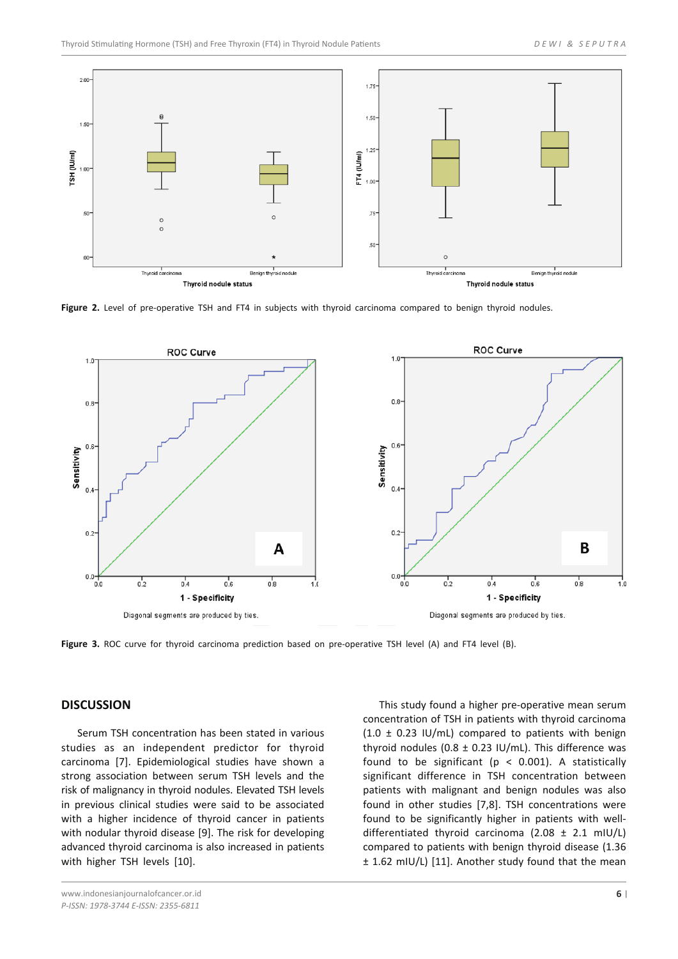

Figure 2. Level of pre-operative TSH and FT4 in subjects with thyroid carcinoma compared to benign thyroid nodules.



**Figure 3.** ROC curve for thyroid carcinoma prediction based on pre-operative TSH level (A) and FT4 level (B).

#### **DISCUSSION**

Serum TSH concentration has been stated in various studies as an independent predictor for thyroid carcinoma [7]. Epidemiological studies have shown a strong association between serum TSH levels and the risk of malignancy in thyroid nodules. Elevated TSH levels in previous clinical studies were said to be associated with a higher incidence of thyroid cancer in patients with nodular thyroid disease [9]. The risk for developing advanced thyroid carcinoma is also increased in patients with higher TSH levels [10].

www.indonesianjournalofcancer.or.id *P-ISSN: 1978-3744 E-ISSN: 2355-6811*

This study found a higher pre-operative mean serum concentration of TSH in patients with thyroid carcinoma  $(1.0 \pm 0.23 \text{ IU/mL})$  compared to patients with benign thyroid nodules (0.8  $\pm$  0.23 IU/mL). This difference was found to be significant ( $p < 0.001$ ). A statistically significant difference in TSH concentration between patients with malignant and benign nodules was also found in other studies [7,8]. TSH concentrations were found to be significantly higher in patients with welldifferentiated thyroid carcinoma (2.08  $\pm$  2.1 mIU/L) compared to patients with benign thyroid disease (1.36 ± 1.62 mIU/L) [11]. Another study found that the mean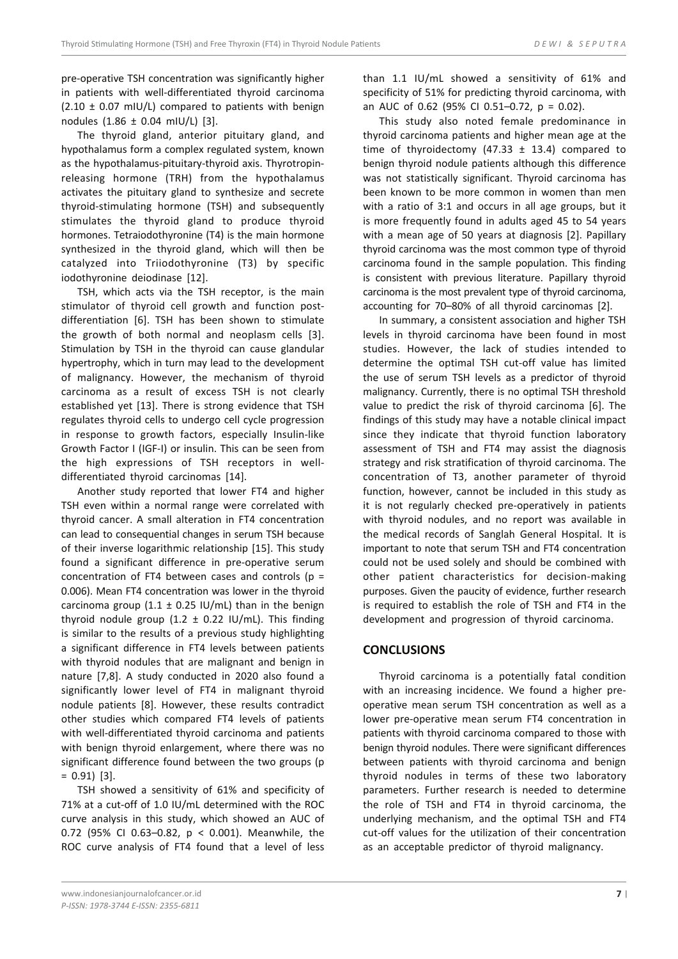pre-operative TSH concentration was significantly higher in patients with well-differentiated thyroid carcinoma  $(2.10 \pm 0.07 \text{ mU/L})$  compared to patients with benign nodules (1.86 ± 0.04 mIU/L) [3].

The thyroid gland, anterior pituitary gland, and hypothalamus form a complex regulated system, known as the hypothalamus-pituitary-thyroid axis. Thyrotropinreleasing hormone (TRH) from the hypothalamus activates the pituitary gland to synthesize and secrete thyroid-stimulating hormone (TSH) and subsequently stimulates the thyroid gland to produce thyroid hormones. Tetraiodothyronine (T4) is the main hormone synthesized in the thyroid gland, which will then be catalyzed into Triiodothyronine (T3) by specific iodothyronine deiodinase [12].

TSH, which acts via the TSH receptor, is the main stimulator of thyroid cell growth and function postdifferentiation [6]. TSH has been shown to stimulate the growth of both normal and neoplasm cells [3]. Stimulation by TSH in the thyroid can cause glandular hypertrophy, which in turn may lead to the development of malignancy. However, the mechanism of thyroid carcinoma as a result of excess TSH is not clearly established yet [13]. There is strong evidence that TSH regulates thyroid cells to undergo cell cycle progression in response to growth factors, especially Insulin-like Growth Factor I (IGF-I) or insulin. This can be seen from the high expressions of TSH receptors in welldifferentiated thyroid carcinomas [14].

Another study reported that lower FT4 and higher TSH even within a normal range were correlated with thyroid cancer. A small alteration in FT4 concentration can lead to consequential changes in serum TSH because of their inverse logarithmic relationship [15]. This study found a significant difference in pre-operative serum concentration of FT4 between cases and controls ( $p =$ 0.006). Mean FT4 concentration was lower in the thyroid carcinoma group (1.1  $\pm$  0.25 IU/mL) than in the benign thyroid nodule group (1.2  $\pm$  0.22 IU/mL). This finding is similar to the results of a previous study highlighting a significant difference in FT4 levels between patients with thyroid nodules that are malignant and benign in nature [7,8]. A study conducted in 2020 also found a significantly lower level of FT4 in malignant thyroid nodule patients [8]. However, these results contradict other studies which compared FT4 levels of patients with well-differentiated thyroid carcinoma and patients with benign thyroid enlargement, where there was no significant difference found between the two groups (p = 0.91) [3].

TSH showed a sensitivity of 61% and specificity of 71% at a cut-off of 1.0 IU/mL determined with the ROC curve analysis in this study, which showed an AUC of 0.72 (95% CI 0.63–0.82, p < 0.001). Meanwhile, the ROC curve analysis of FT4 found that a level of less

than 1.1 IU/mL showed a sensitivity of 61% and specificity of 51% for predicting thyroid carcinoma, with an AUC of 0.62 (95% CI 0.51–0.72, p = 0.02).

This study also noted female predominance in thyroid carcinoma patients and higher mean age at the time of thyroidectomy (47.33  $\pm$  13.4) compared to benign thyroid nodule patients although this difference was not statistically significant. Thyroid carcinoma has been known to be more common in women than men with a ratio of 3:1 and occurs in all age groups, but it is more frequently found in adults aged 45 to 54 years with a mean age of 50 years at diagnosis [2]. Papillary thyroid carcinoma was the most common type of thyroid carcinoma found in the sample population. This finding is consistent with previous literature. Papillary thyroid carcinoma is the most prevalent type of thyroid carcinoma, accounting for 70–80% of all thyroid carcinomas [2].

In summary, a consistent association and higher TSH levels in thyroid carcinoma have been found in most studies. However, the lack of studies intended to determine the optimal TSH cut-off value has limited the use of serum TSH levels as a predictor of thyroid malignancy. Currently, there is no optimal TSH threshold value to predict the risk of thyroid carcinoma [6]. The findings of this study may have a notable clinical impact since they indicate that thyroid function laboratory assessment of TSH and FT4 may assist the diagnosis strategy and risk stratification of thyroid carcinoma. The concentration of T3, another parameter of thyroid function, however, cannot be included in this study as it is not regularly checked pre-operatively in patients with thyroid nodules, and no report was available in the medical records of Sanglah General Hospital. It is important to note that serum TSH and FT4 concentration could not be used solely and should be combined with other patient characteristics for decision-making purposes. Given the paucity of evidence, further research is required to establish the role of TSH and FT4 in the development and progression of thyroid carcinoma.

## **CONCLUSIONS**

Thyroid carcinoma is a potentially fatal condition with an increasing incidence. We found a higher preoperative mean serum TSH concentration as well as a lower pre-operative mean serum FT4 concentration in patients with thyroid carcinoma compared to those with benign thyroid nodules. There were significant differences between patients with thyroid carcinoma and benign thyroid nodules in terms of these two laboratory parameters. Further research is needed to determine the role of TSH and FT4 in thyroid carcinoma, the underlying mechanism, and the optimal TSH and FT4 cut-off values for the utilization of their concentration as an acceptable predictor of thyroid malignancy.